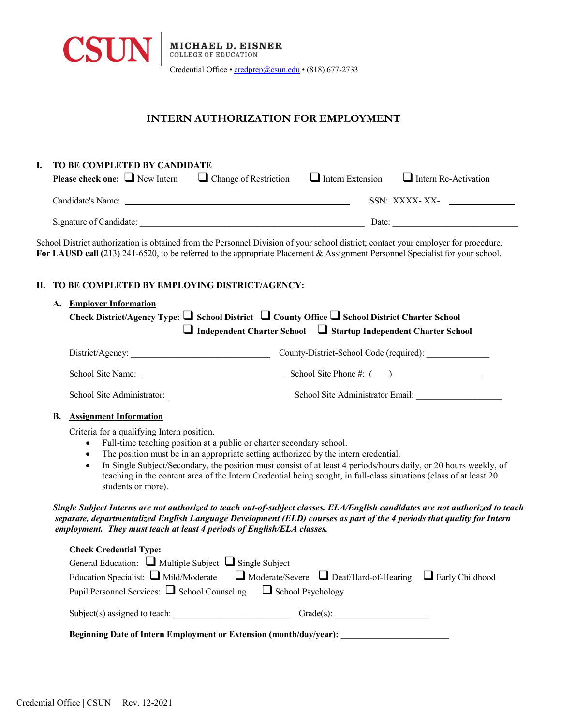

## **INTERN AUTHORIZATION FOR EMPLOYMENT**

| I. | TO BE COMPLETED BY CANDIDATE<br><b>Please check one:</b> $\Box$ New Intern $\Box$ Change of Restriction $\Box$ Intern Extension<br>$\Box$ Intern Re-Activation |                                                                                                                                                                                                                                                                        |  |  |  |
|----|----------------------------------------------------------------------------------------------------------------------------------------------------------------|------------------------------------------------------------------------------------------------------------------------------------------------------------------------------------------------------------------------------------------------------------------------|--|--|--|
|    |                                                                                                                                                                |                                                                                                                                                                                                                                                                        |  |  |  |
|    |                                                                                                                                                                | SSN: XXXX-XX-                                                                                                                                                                                                                                                          |  |  |  |
|    |                                                                                                                                                                |                                                                                                                                                                                                                                                                        |  |  |  |
|    |                                                                                                                                                                | School District authorization is obtained from the Personnel Division of your school district; contact your employer for procedure.<br>For LAUSD call $(213)$ 241-6520, to be referred to the appropriate Placement & Assignment Personnel Specialist for your school. |  |  |  |
| П. | TO BE COMPLETED BY EMPLOYING DISTRICT/AGENCY:                                                                                                                  |                                                                                                                                                                                                                                                                        |  |  |  |
|    | A. Employer Information                                                                                                                                        |                                                                                                                                                                                                                                                                        |  |  |  |
|    |                                                                                                                                                                | Check District/Agency Type: $\Box$ School District $\Box$ County Office $\Box$ School District Charter School                                                                                                                                                          |  |  |  |
|    |                                                                                                                                                                | □ Independent Charter School □ Startup Independent Charter School                                                                                                                                                                                                      |  |  |  |
|    |                                                                                                                                                                |                                                                                                                                                                                                                                                                        |  |  |  |
|    |                                                                                                                                                                |                                                                                                                                                                                                                                                                        |  |  |  |
|    |                                                                                                                                                                |                                                                                                                                                                                                                                                                        |  |  |  |
|    | В.                                                                                                                                                             |                                                                                                                                                                                                                                                                        |  |  |  |
|    | <b>Assignment Information</b>                                                                                                                                  |                                                                                                                                                                                                                                                                        |  |  |  |
|    | Criteria for a qualifying Intern position.<br>Full-time teaching position at a public or charter secondary school.<br>$\bullet$                                |                                                                                                                                                                                                                                                                        |  |  |  |
|    | The position must be in an appropriate setting authorized by the intern credential.<br>$\bullet$                                                               |                                                                                                                                                                                                                                                                        |  |  |  |
|    | $\bullet$                                                                                                                                                      | In Single Subject/Secondary, the position must consist of at least 4 periods/hours daily, or 20 hours weekly, of                                                                                                                                                       |  |  |  |
|    | students or more).                                                                                                                                             | teaching in the content area of the Intern Credential being sought, in full-class situations (class of at least 20                                                                                                                                                     |  |  |  |
|    | employment. They must teach at least 4 periods of English/ELA classes.                                                                                         | Single Subject Interns are not authorized to teach out-of-subject classes. ELA/English candidates are not authorized to teach<br>separate, departmentalized English Language Development (ELD) courses as part of the 4 periods that quality for Intern                |  |  |  |
|    | <b>Check Credential Type:</b>                                                                                                                                  |                                                                                                                                                                                                                                                                        |  |  |  |
|    | General Education: $\Box$ Multiple Subject $\Box$ Single Subject                                                                                               |                                                                                                                                                                                                                                                                        |  |  |  |
|    |                                                                                                                                                                | Education Specialist: $\Box$ Mild/Moderate $\Box$ Moderate/Severe $\Box$ Deaf/Hard-of-Hearing $\Box$ Early Childhood                                                                                                                                                   |  |  |  |
|    | Pupil Personnel Services: $\Box$ School Counseling $\Box$ School Psychology                                                                                    |                                                                                                                                                                                                                                                                        |  |  |  |
|    |                                                                                                                                                                |                                                                                                                                                                                                                                                                        |  |  |  |
|    | Beginning Date of Intern Employment or Extension (month/day/year):                                                                                             |                                                                                                                                                                                                                                                                        |  |  |  |